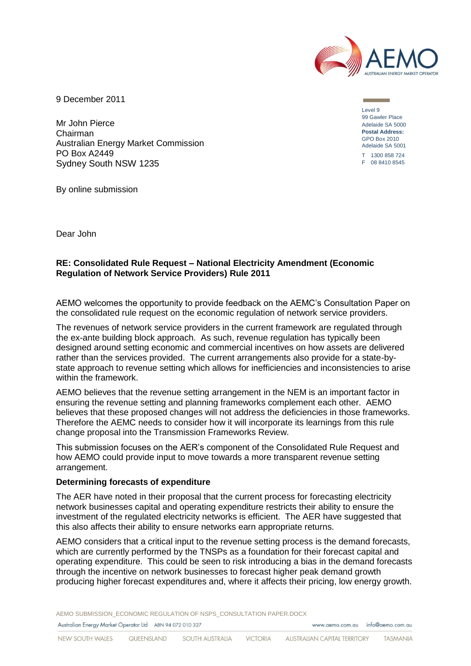

9 December 2011

Mr John Pierce Chairman Australian Energy Market Commission PO Box A2449 Sydney South NSW 1235

Level 9 99 Gawler Place Adelaide SA 5000 **Postal Address:** GPO Box 2010 Adelaide SA 5001 T 1300 858 724 F 08 8410 8545

Dear John

By online submission

## **RE: Consolidated Rule Request – National Electricity Amendment (Economic Regulation of Network Service Providers) Rule 2011**

AEMO welcomes the opportunity to provide feedback on the AEMC's Consultation Paper on the consolidated rule request on the economic regulation of network service providers.

The revenues of network service providers in the current framework are regulated through the ex-ante building block approach. As such, revenue regulation has typically been designed around setting economic and commercial incentives on how assets are delivered rather than the services provided. The current arrangements also provide for a state-bystate approach to revenue setting which allows for inefficiencies and inconsistencies to arise within the framework.

AEMO believes that the revenue setting arrangement in the NEM is an important factor in ensuring the revenue setting and planning frameworks complement each other. AEMO believes that these proposed changes will not address the deficiencies in those frameworks. Therefore the AEMC needs to consider how it will incorporate its learnings from this rule change proposal into the Transmission Frameworks Review.

This submission focuses on the AER's component of the Consolidated Rule Request and how AEMO could provide input to move towards a more transparent revenue setting arrangement.

## **Determining forecasts of expenditure**

The AER have noted in their proposal that the current process for forecasting electricity network businesses capital and operating expenditure restricts their ability to ensure the investment of the regulated electricity networks is efficient. The AER have suggested that this also affects their ability to ensure networks earn appropriate returns.

AEMO considers that a critical input to the revenue setting process is the demand forecasts, which are currently performed by the TNSPs as a foundation for their forecast capital and operating expenditure. This could be seen to risk introducing a bias in the demand forecasts through the incentive on network businesses to forecast higher peak demand growth producing higher forecast expenditures and, where it affects their pricing, low energy growth.

AEMO SUBMISSION\_ECONOMIC REGULATION OF NSPS\_CONSULTATION PAPER.DOCX Australian Energy Market Operator Ltd ABN 94 072 010 327 www.gemo.com.gu info@gemo.com.gu